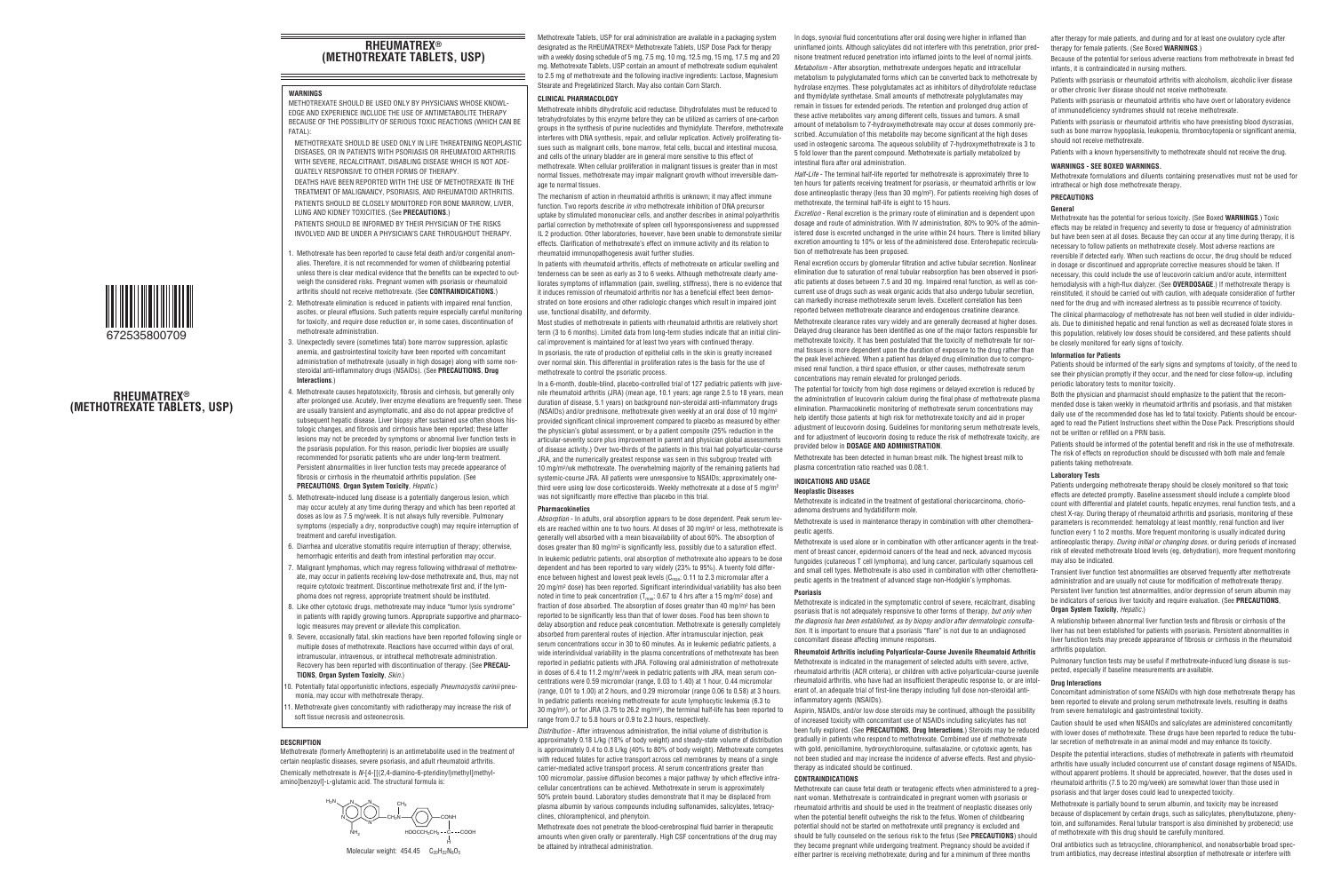# **RHEUMATREX® (METHOTREXATE TABLETS, USP)**

### **WARNINGS**

METHOTREXATE SHOULD BE USED ONLY BY PHYSICIANS WHOSE KNOWL-EDGE AND EXPERIENCE INCLUDE THE USE OF ANTIMETABOLITE THERAPY BECAUSE OF THE POSSIBILITY OF SERIOUS TOXIC REACTIONS (WHICH CAN BE FATAL):

METHOTREXATE SHOULD BE USED ONLY IN LIFE THREATENING NEOPLASTIC DISEASES, OR IN PATIENTS WITH PSORIASIS OR RHEUMATOID ARTHRITIS WITH SEVERE, RECALCITRANT, DISABLING DISEASE WHICH IS NOT ADE-QUATELY RESPONSIVE TO OTHER FORMS OF THERAPY.

DEATHS HAVE BEEN REPORTED WITH THE USE OF METHOTREXATE IN THE TREATMENT OF MALIGNANCY, PSORIASIS, AND RHEUMATOID ARTHRITIS. PATIENTS SHOULD BE CLOSELY MONITORED FOR BONE MARROW, LIVER, LUNG AND KIDNEY TOXICITIES. (See **PRECAUTIONS**.)

PATIENTS SHOULD BE INFORMED BY THEIR PHYSICIAN OF THE RISKS INVOLVED AND BE UNDER A PHYSICIAN'S CARE THROUGHOUT THERAPY.

. Methotrexate has been reported to cause fetal death and/or congenital anomalies. Therefore, it is not recommended for women of childbearing potential unless there is clear medical evidence that the benefits can be expected to outweigh the considered risks. Pregnant women with psoriasis or rheumatoid arthritis should not receive methotrexate. (See **CONTRAINDICATIONS**.)



**RHEUMATREX® (METHOTREXATE TABLETS, USP)** 2. Methotrexate elimination is reduced in patients with impaired renal function, ascites, or pleural effusions. Such patients require especially careful monitoring for toxicity, and require dose reduction or, in some cases, discontinuation of methotrexate administration.

- 3. Unexpectedly severe (sometimes fatal) bone marrow suppression, aplastic anemia, and gastrointestinal toxicity have been reported with concomitant administration of methotrexate (usually in high dosage) along with some nonsteroidal anti-inflammatory drugs (NSAIDs). (See **PRECAUTIONS**, **Drug Interactions**.)
- Methotrexate causes hepatotoxicity, fibrosis and cirrhosis, but generally only after prolonged use. Acutely, liver enzyme elevations are frequently seen. These are usually transient and asymptomatic, and also do not appear predictive of subsequent hepatic disease. Liver biopsy after sustained use often shows histologic changes, and fibrosis and cirrhosis have been reported; these latter lesions may not be preceded by symptoms or abnormal liver function tests in the psoriasis population. For this reason, periodic liver biopsies are usually recommended for psoriatic patients who are under long-term treatment. Persistent abnormalities in liver function tests may precede appearance of fibrosis or cirrhosis in the rheumatoid arthritis population. (See **PRECAUTIONS**, **Organ System Toxicity**, *Hepatic.*)
- 5. Methotrexate-induced lung disease is a potentially dangerous lesion, which may occur acutely at any time during therapy and which has been reported at doses as low as 7.5 mg/week. It is not always fully reversible. Pulmonary symptoms (especially a dry, nonproductive cough) may require interruption of treatment and careful investigation.
- 6. Diarrhea and ulcerative stomatitis require interruption of therapy; otherwise, hemorrhagic enteritis and death from intestinal perforation may occur.
- 7. Malignant lymphomas, which may regress following withdrawal of methotrexate, may occur in patients receiving low-dose methotrexate and, thus, may not require cytotoxic treatment. Discontinue methotrexate first and, if the lymphoma does not regress, appropriate treatment should be instituted.
- 8. Like other cytotoxic drugs, methotrexate may induce "tumor lysis syndrome" in patients with rapidly growing tumors. Appropriate supportive and pharmacologic measures may prevent or alleviate this complication.
- 9. Severe, occasionally fatal, skin reactions have been reported following single or multiple doses of methotrexate. Reactions have occurred within days of oral, intramuscular, intravenous, or intrathecal methotrexate administration. Recovery has been reported with discontinuation of therapy. (See **PRECAU-TIONS**, **Organ System Toxicity**, *Skin*.)
- 0. Potentially fatal opportunistic infections, especially *Pneumocystis carinii* pneumonia, may occur with methotrexate therapy.
- 1. Methotrexate given concomitantly with radiotherapy may increase the risk of soft tissue necrosis and osteonecrosis.

# **DESCRIPTION**

Methotrexate (formerly Amethopterin) is an antimetabolite used in the treatment of certain neoplastic diseases, severe psoriasis, and adult rheumatoid arthritis. Chemically methotrexate is *N*-[4-[[(2,4-diamino-6-pteridinyl)methyl]methylamino]benzoyl]-L-glutamic acid. The structural formula is:

N N N N CH<sub>2</sub>N  $NH<sub>2</sub>$  $H_2N \searrow N \searrow N$  CH<sub>3</sub> CONH HOOCCH<sub>2</sub>CH<sub>2</sub> C COOH H

Molecular weight:  $454.45$   $C_{20}H_{22}N_8O_5$ 

Methotrexate Tablets, USP for oral administration are available in a packaging system designated as the RHEUMATREX® Methotrexate Tablets, USP Dose Pack for therapy with a weekly dosing schedule of 5 mg, 7.5 mg, 10 mg, 12.5 mg, 17.5 mg, 17.6 mg, 17.6 mg, 17.6 mg, 17.6 mg, 17.6 mg, 17.6 mg, 17.6 mg, 17.6 mg, 17.6 mg, 17.6 mg, 17.6 mg, 17.6 mg, 17.6 mg, 17.6 mg, 17.6 mg, 17.6 mg, 17.6 m mg. Methotrexate Tablets, USP contain an amount of methotrexate sodium equivalent to 2.5 mg of methotrexate and the following inactive ingredients: Lactose, Magnesium Stearate and Pregelatinized Starch. May also contain Corn Starch.

# **CLINICAL PHARMACOLOGY**

Methotrexate inhibits dihydrofolic acid reductase. Dihydrofolates must be reduced to tetrahydrofolates by this enzyme before they can be utilized as carriers of one-carbon groups in the synthesis of purine nucleotides and thymidylate. Therefore, methotrexate interferes with DNA synthesis, repair, and cellular replication. Actively proliferating tissues such as malignant cells, bone marrow, fetal cells, buccal and intestinal mucosa, and cells of the urinary bladder are in general more sensitive to this effect of methotrexate. When cellular proliferation in malignant tissues is greater than in most normal tissues, methotrexate may impair malignant growth without irreversible damage to normal tissues.

The mechanism of action in rheumatoid arthritis is unknown; it may affect immune function. Two reports describe *in vitro* methotrexate inhibition of DNA precursor uptake by stimulated mononuclear cells, and another describes in animal polyarthritis partial correction by methotrexate of spleen cell hyporesponsiveness and suppressed IL 2 production. Other laboratories, however, have been unable to demonstrate similar effects. Clarification of methotrexate's effect on immune activity and its relation to rheumatoid immunopathogenesis await further studies.

In patients with rheumatoid arthritis, effects of methotrexate on articular swelling and tenderness can be seen as early as 3 to 6 weeks. Although methotrexate clearly ameliorates symptoms of inflammation (pain, swelling, stiffness), there is no evidence that it induces remission of rheumatoid arthritis nor has a beneficial effect been demonstrated on bone erosions and other radiologic changes which result in impaired joint use, functional disability, and deformity.

Most studies of methotrexate in patients with rheumatoid arthritis are relatively short term (3 to 6 months). Limited data from long-term studies indicate that an initial clinical improvement is maintained for at least two years with continued therapy. In psoriasis, the rate of production of epithelial cells in the skin is greatly increased over normal skin. This differential in proliferation rates is the basis for the use of methotrexate to control the psoriatic process.

In a 6-month, double-blind, placebo-controlled trial of 127 pediatric patients with juvenile rheumatoid arthritis (JRA) (mean age, 10.1 years; age range 2.5 to 18 years, mean duration of disease, 5.1 years) on background non-steroidal anti-inflammatory drugs (NSAIDs) and/or prednisone, methotrexate given weekly at an oral dose of 10 mg/m2 provided significant clinical improvement compared to placebo as measured by either the physician's global assessment, or by a patient composite (25% reduction in the articular-severity score plus improvement in parent and physician global assessments of disease activity.) Over two-thirds of the patients in this trial had polyarticular-course JRA, and the numerically greatest response was seen in this subgroup treated with 10 mg/m2/wk methotrexate. The overwhelming majority of the remaining patients had systemic-course JRA. All patients were unresponsive to NSAIDs; approximately onethird were using low dose corticosteroids. Weekly methotrexate at a dose of 5 mg/m<sup>2</sup> was not significantly more effective than placebo in this trial.

# **Pharmacokinetics**

*Absorption* - In adults, oral absorption appears to be dose dependent. Peak serum levels are reached within one to two hours. At doses of 30 mg/m2 or less, methotrexate is generally well absorbed with a mean bioavailability of about 60%. The absorption of doses greater than 80 mg/m2 is significantly less, possibly due to a saturation effect. In leukemic pediatric patients, oral absorption of methotrexate also appears to be dose dependent and has been reported to vary widely (23% to 95%). A twenty fold difference between highest and lowest peak levels ( $C_{\text{max}}$ : 0.11 to 2.3 micromolar after a 20 mg/m2 dose) has been reported. Significant interindividual variability has also been noted in time to peak concentration ( $T_{\text{max}}$ : 0.67 to 4 hrs after a 15 mg/m<sup>2</sup> dose) and fraction of dose absorbed. The absorption of doses greater than 40 mg/m<sup>2</sup> has been reported to be significantly less than that of lower doses. Food has been shown to delay absorption and reduce peak concentration. Methotrexate is generally completely absorbed from parenteral routes of injection. After intramuscular injection, peak serum concentrations occur in 30 to 60 minutes. As in leukemic pediatric patients, a wide interindividual variability in the plasma concentrations of methotrexate has been reported in pediatric patients with JRA. Following oral administration of methotrexate in doses of 6.4 to 11.2 mg/m2/week in pediatric patients with JRA, mean serum concentrations were 0.59 micromolar (range, 0.03 to 1.40) at 1 hour, 0.44 micromolar (range, 0.01 to 1.00) at 2 hours, and 0.29 micromolar (range 0.06 to 0.58) at 3 hours. In pediatric patients receiving methotrexate for acute lymphocytic leukemia (6.3 to 30 mg/m2), or for JRA (3.75 to 26.2 mg/m2), the terminal half-life has been reported to range from 0.7 to 5.8 hours or 0.9 to 2.3 hours, respectively.

*Distribution* - After intravenous administration, the initial volume of distribution is approximately 0.18 L/kg (18% of body weight) and steady-state volume of distribution is approximately 0.4 to 0.8 L/kg (40% to 80% of body weight). Methotrexate competes with reduced folates for active transport across cell membranes by means of a single carrier-mediated active transport process. At serum concentrations greater than 100 micromolar, passive diffusion becomes a major pathway by which effective intracellular concentrations can be achieved. Methotrexate in serum is approximately 50% protein bound. Laboratory studies demonstrate that it may be displaced from plasma albumin by various compounds including sulfonamides, salicylates, tetracyclines, chloramphenicol, and phenytoin.

Methotrexate does not penetrate the blood-cerebrospinal fluid barrier in therapeutic amounts when given orally or parenterally. High CSF concentrations of the drug may be attained by intrathecal administration.

In dogs, synovial fluid concentrations after oral dosing were higher in inflamed than uninflamed joints. Although salicylates did not interfere with this penetration, prior prednisone treatment reduced penetration into inflamed joints to the level of normal joints.

*Metabolism* - After absorption, methotrexate undergoes hepatic and intracellular metabolism to polyglutamated forms which can be converted back to methotrexate by hydrolase enzymes. These polyglutamates act as inhibitors of dihydrofolate reductase and thymidylate synthetase. Small amounts of methotrexate polyglutamates may remain in tissues for extended periods. The retention and prolonged drug action of these active metabolites vary among different cells, tissues and tumors. A small amount of metabolism to 7-hydroxymethotrexate may occur at doses commonly prescribed. Accumulation of this metabolite may become significant at the high doses used in osteogenic sarcoma. The aqueous solubility of 7-hydroxymethotrexate is 3 to 5 fold lower than the parent compound. Methotrexate is partially metabolized by intestinal flora after oral administration.

*Half-Life* - The terminal half-life reported for methotrexate is approximately three to ten hours for patients receiving treatment for psoriasis, or rheumatoid arthritis or low dose antineoplastic therapy (less than 30 mg/m2). For patients receiving high doses of methotrexate, the terminal half-life is eight to 15 hours.

*Excretion* - Renal excretion is the primary route of elimination and is dependent upon dosage and route of administration. With IV administration, 80% to 90% of the administered dose is excreted unchanged in the urine within 24 hours. There is limited biliary excretion amounting to 10% or less of the administered dose. Enterohepatic recirculation of methotrexate has been proposed.

Renal excretion occurs by glomerular filtration and active tubular secretion. Nonlinear elimination due to saturation of renal tubular reabsorption has been observed in psoriatic patients at doses between 7.5 and 30 mg. Impaired renal function, as well as concurrent use of drugs such as weak organic acids that also undergo tubular secretion, can markedly increase methotrexate serum levels. Excellent correlation has been reported between methotrexate clearance and endogenous creatinine clearance.

Methotrexate clearance rates vary widely and are generally decreased at higher doses. Delayed drug clearance has been identified as one of the major factors responsible for methotrexate toxicity. It has been postulated that the toxicity of methotrexate for normal tissues is more dependent upon the duration of exposure to the drug rather than the peak level achieved. When a patient has delayed drug elimination due to compromised renal function, a third space effusion, or other causes, methotrexate serum concentrations may remain elevated for prolonged periods.

The potential for toxicity from high dose regimens or delayed excretion is reduced by the administration of leucovorin calcium during the final phase of methotrexate plasma elimination. Pharmacokinetic monitoring of methotrexate serum concentrations may help identify those patients at high risk for methotrexate toxicity and aid in proper adjustment of leucovorin dosing. Guidelines for monitoring serum methotrexate levels, and for adjustment of leucovorin dosing to reduce the risk of methotrexate toxicity, are provided below in **DOSAGE AND ADMINISTRATION**.

Methotrexate has been detected in human breast milk. The highest breast milk to plasma concentration ratio reached was 0.08:1.

# **INDICATIONS AND USAGE**

#### **Neoplastic Diseases**

Methotrexate is indicated in the treatment of gestational choriocarcinoma, chorioadenoma destruens and hydatidiform mole.

Methotrexate is used in maintenance therapy in combination with other chemotherapeutic agents.

Methotrexate is used alone or in combination with other anticancer agents in the treatment of breast cancer, epidermoid cancers of the head and neck, advanced mycosis fungoides (cutaneous T cell lymphoma), and lung cancer, particularly squamous cell and small cell types. Methotrexate is also used in combination with other chemotherapeutic agents in the treatment of advanced stage non-Hodgkin's lymphomas.

#### **Psoriasis**

Methotrexate is indicated in the symptomatic control of severe, recalcitrant, disabling psoriasis that is not adequately responsive to other forms of therapy, *but only when the diagnosis has been established, as by biopsy and/or after dermatologic consultation*. It is important to ensure that a psoriasis "flare" is not due to an undiagnosed concomitant disease affecting immune responses.

# **Rheumatoid Arthritis including Polyarticular-Course Juvenile Rheumatoid Arthritis**

Methotrexate is indicated in the management of selected adults with severe, active, rheumatoid arthritis (ACR criteria), or children with active polyarticular-course juvenile rheumatoid arthritis, who have had an insufficient therapeutic response to, or are intolerant of, an adequate trial of first-line therapy including full dose non-steroidal antiinflammatory agents (NSAIDs).

Aspirin, NSAIDs, and/or low dose steroids may be continued, although the possibility of increased toxicity with concomitant use of NSAIDs including salicylates has not been fully explored. (See **PRECAUTIONS**, **Drug Interactions**.) Steroids may be reduced gradually in patients who respond to methotrexate. Combined use of methotrexate with gold, penicillamine, hydroxychloroquine, sulfasalazine, or cytotoxic agents, has not been studied and may increase the incidence of adverse effects. Rest and physiotherapy as indicated should be continued.

# **CONTRAINDICATIONS**

Methotrexate can cause fetal death or teratogenic effects when administered to a pregnant woman. Methotrexate is contraindicated in pregnant women with psoriasis or rheumatoid arthritis and should be used in the treatment of neoplastic diseases only when the potential benefit outweighs the risk to the fetus. Women of childbearing potential should not be started on methotrexate until pregnancy is excluded and should be fully counseled on the serious risk to the fetus (See **PRECAUTIONS**) should they become pregnant while undergoing treatment. Pregnancy should be avoided if either partner is receiving methotrexate; during and for a minimum of three months

after therapy for male patients, and during and for at least one ovulatory cycle after therapy for female patients. (See Boxed **WARNINGS**.)

Because of the potential for serious adverse reactions from methotrexate in breast fed infants, it is contraindicated in nursing mothers.

Patients with psoriasis or rheumatoid arthritis with alcoholism, alcoholic liver disease or other chronic liver disease should not receive methotrexate.

Patients with psoriasis or rheumatoid arthritis who have overt or laboratory evidence of immunodeficiency syndromes should not receive methotrexate.

Patients with psoriasis or rheumatoid arthritis who have preexisting blood dyscrasias, such as bone marrow hypoplasia, leukopenia, thrombocytopenia or significant anemia, should not receive methotrexate.

Patients with a known hypersensitivity to methotrexate should not receive the drug.

# **WARNINGS - SEE BOXED WARNINGS.**

Methotrexate formulations and diluents containing preservatives must not be used for intrathecal or high dose methotrexate therapy.

# **PRECAUTIONS**

**General**

Methotrexate has the potential for serious toxicity. (See Boxed **WARNINGS**.) Toxic effects may be related in frequency and severity to dose or frequency of administration but have been seen at all doses. Because they can occur at any time during therapy, it is necessary to follow patients on methotrexate closely. Most adverse reactions are reversible if detected early. When such reactions do occur, the drug should be reduced in dosage or discontinued and appropriate corrective measures should be taken. If necessary, this could include the use of leucovorin calcium and/or acute, intermittent hemodialysis with a high-flux dialyzer. (See **OVERDOSAGE**.) If methotrexate therapy is reinstituted, it should be carried out with caution, with adequate consideration of further need for the drug and with increased alertness as to possible recurrence of toxicity.

The clinical pharmacology of methotrexate has not been well studied in older individuals. Due to diminished hepatic and renal function as well as decreased folate stores in this population, relatively low doses should be considered, and these patients should be closely monitored for early signs of toxicity.

### **Information for Patients**

Patients should be informed of the early signs and symptoms of toxicity, of the need to see their physician promptly if they occur, and the need for close follow-up, including periodic laboratory tests to monitor toxicity.

Both the physician and pharmacist should emphasize to the patient that the recommended dose is taken weekly in rheumatoid arthritis and psoriasis, and that mistaken daily use of the recommended dose has led to fatal toxicity. Patients should be encouraged to read the Patient Instructions sheet within the Dose Pack. Prescriptions should not be written or refilled on a PRN basis.

Patients should be informed of the potential benefit and risk in the use of methotrexate. The risk of effects on reproduction should be discussed with both male and female patients taking methotrexate.

# **Laboratory Tests**

Patients undergoing methotrexate therapy should be closely monitored so that toxic effects are detected promptly. Baseline assessment should include a complete blood count with differential and platelet counts, hepatic enzymes, renal function tests, and a chest X-ray. During therapy of rheumatoid arthritis and psoriasis, monitoring of these parameters is recommended: hematology at least monthly, renal function and liver function every 1 to 2 months. More frequent monitoring is usually indicated during antineoplastic therapy. *During initial or changing doses*, or during periods of increased risk of elevated methotrexate blood levels (eg, dehydration), more frequent monitoring may also be indicated.

Transient liver function test abnormalities are observed frequently after methotrexate administration and are usually not cause for modification of methotrexate therapy. Persistent liver function test abnormalities, and/or depression of serum albumin may be indicators of serious liver toxicity and require evaluation. (See **PRECAUTIONS**, **Organ System Toxicity**, *Hepatic.*)

A relationship between abnormal liver function tests and fibrosis or cirrhosis of the liver has not been established for patients with psoriasis. Persistent abnormalities in liver function tests may precede appearance of fibrosis or cirrhosis in the rheumatoid arthritis population.

Pulmonary function tests may be useful if methotrexate-induced lung disease is suspected, especially if baseline measurements are available.

# **Drug Interactions**

Concomitant administration of some NSAIDs with high dose methotrexate therapy has been reported to elevate and prolong serum methotrexate levels, resulting in deaths from severe hematologic and gastrointestinal toxicity.

Caution should be used when NSAIDs and salicylates are administered concomitantly with lower doses of methotrexate. These drugs have been reported to reduce the tubular secretion of methotrexate in an animal model and may enhance its toxicity.

Despite the potential interactions, studies of methotrexate in patients with rheumatoid arthritis have usually included concurrent use of constant dosage regimens of NSAIDs, without apparent problems. It should be appreciated, however, that the doses used in rheumatoid arthritis (7.5 to 20 mg/week) are somewhat lower than those used in psoriasis and that larger doses could lead to unexpected toxicity.

Methotrexate is partially bound to serum albumin, and toxicity may be increased because of displacement by certain drugs, such as salicylates, phenylbutazone, phenytoin, and sulfonamides. Renal tubular transport is also diminished by probenecid; use of methotrexate with this drug should be carefully monitored.

Oral antibiotics such as tetracycline, chloramphenicol, and nonabsorbable broad spectrum antibiotics, may decrease intestinal absorption of methotrexate or interfere with